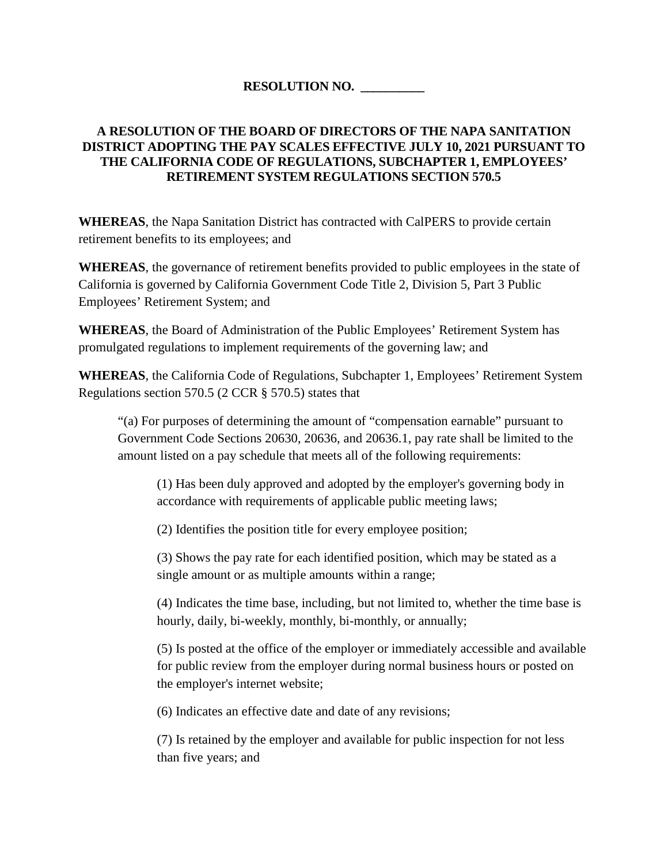## **RESOLUTION NO. \_\_\_\_\_\_\_\_\_\_**

## **A RESOLUTION OF THE BOARD OF DIRECTORS OF THE NAPA SANITATION DISTRICT ADOPTING THE PAY SCALES EFFECTIVE JULY 10, 2021 PURSUANT TO THE CALIFORNIA CODE OF REGULATIONS, SUBCHAPTER 1, EMPLOYEES' RETIREMENT SYSTEM REGULATIONS SECTION 570.5**

**WHEREAS**, the Napa Sanitation District has contracted with CalPERS to provide certain retirement benefits to its employees; and

**WHEREAS**, the governance of retirement benefits provided to public employees in the state of California is governed by California Government Code Title 2, Division 5, Part 3 Public Employees' Retirement System; and

**WHEREAS**, the Board of Administration of the Public Employees' Retirement System has promulgated regulations to implement requirements of the governing law; and

**WHEREAS**, the California Code of Regulations, Subchapter 1, Employees' Retirement System Regulations section 570.5 (2 CCR § 570.5) states that

"(a) For purposes of determining the amount of "compensation earnable" pursuant to Government Code Sections 20630, 20636, and 20636.1, pay rate shall be limited to the amount listed on a pay schedule that meets all of the following requirements:

(1) Has been duly approved and adopted by the employer's governing body in accordance with requirements of applicable public meeting laws;

(2) Identifies the position title for every employee position;

(3) Shows the pay rate for each identified position, which may be stated as a single amount or as multiple amounts within a range;

(4) Indicates the time base, including, but not limited to, whether the time base is hourly, daily, bi-weekly, monthly, bi-monthly, or annually;

(5) Is posted at the office of the employer or immediately accessible and available for public review from the employer during normal business hours or posted on the employer's internet website;

(6) Indicates an effective date and date of any revisions;

(7) Is retained by the employer and available for public inspection for not less than five years; and